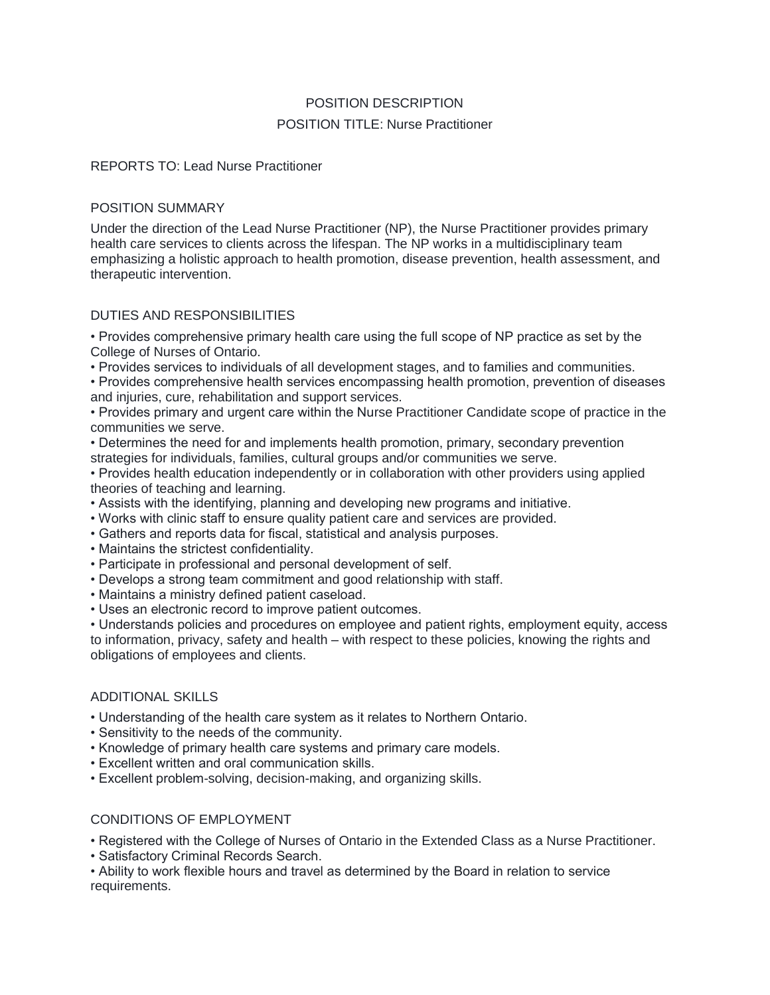# POSITION DESCRIPTION POSITION TITLE: Nurse Practitioner

REPORTS TO: Lead Nurse Practitioner

# POSITION SUMMARY

Under the direction of the Lead Nurse Practitioner (NP), the Nurse Practitioner provides primary health care services to clients across the lifespan. The NP works in a multidisciplinary team emphasizing a holistic approach to health promotion, disease prevention, health assessment, and therapeutic intervention.

# DUTIES AND RESPONSIBILITIES

• Provides comprehensive primary health care using the full scope of NP practice as set by the College of Nurses of Ontario.

• Provides services to individuals of all development stages, and to families and communities.

• Provides comprehensive health services encompassing health promotion, prevention of diseases and injuries, cure, rehabilitation and support services.

• Provides primary and urgent care within the Nurse Practitioner Candidate scope of practice in the communities we serve.

• Determines the need for and implements health promotion, primary, secondary prevention strategies for individuals, families, cultural groups and/or communities we serve.

• Provides health education independently or in collaboration with other providers using applied theories of teaching and learning.

- Assists with the identifying, planning and developing new programs and initiative.
- Works with clinic staff to ensure quality patient care and services are provided.
- Gathers and reports data for fiscal, statistical and analysis purposes.
- Maintains the strictest confidentiality.
- Participate in professional and personal development of self.
- Develops a strong team commitment and good relationship with staff.
- Maintains a ministry defined patient caseload.
- Uses an electronic record to improve patient outcomes.

• Understands policies and procedures on employee and patient rights, employment equity, access to information, privacy, safety and health – with respect to these policies, knowing the rights and obligations of employees and clients.

# ADDITIONAL SKILLS

- Understanding of the health care system as it relates to Northern Ontario.
- Sensitivity to the needs of the community.
- Knowledge of primary health care systems and primary care models.
- Excellent written and oral communication skills.
- Excellent problem-solving, decision-making, and organizing skills.

# CONDITIONS OF EMPLOYMENT

• Registered with the College of Nurses of Ontario in the Extended Class as a Nurse Practitioner.

• Satisfactory Criminal Records Search.

• Ability to work flexible hours and travel as determined by the Board in relation to service requirements.